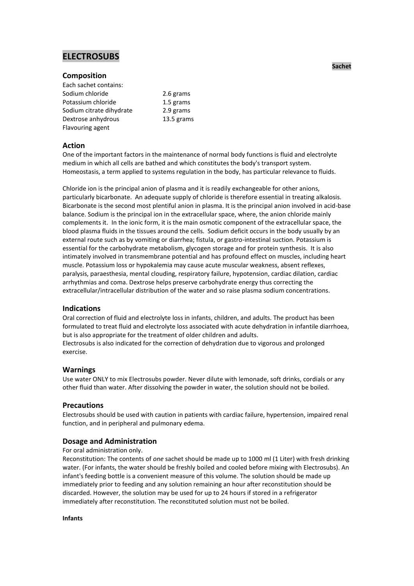# **ELECTROSUBS**

## **Composition**

| Each sachet contains:    |            |
|--------------------------|------------|
| Sodium chloride          | 2.6 grams  |
| Potassium chloride       | 1.5 grams  |
| Sodium citrate dihydrate | 2.9 grams  |
| Dextrose anhydrous       | 13.5 grams |
| Flavouring agent         |            |

# **Action**

One of the important factors in the maintenance of normal body functions is fluid and electrolyte medium in which all cells are bathed and which constitutes the body's transport system. Homeostasis, a term applied to systems regulation in the body, has particular relevance to fluids.

Chloride ion is the principal anion of plasma and it is readily exchangeable for other anions, particularly bicarbonate. An adequate supply of chloride is therefore essential in treating alkalosis. Bicarbonate is the second most plentiful anion in plasma. It is the principal anion involved in acid-base balance. Sodium is the principal ion in the extracellular space, where, the anion chloride mainly complements it. In the ionic form, it is the main osmotic component of the extracellular space, the blood plasma fluids in the tissues around the cells. Sodium deficit occurs in the body usually by an external route such as by vomiting or diarrhea; fistula, or gastro-intestinal suction. Potassium is essential for the carbohydrate metabolism, glycogen storage and for protein synthesis. It is also intimately involved in transmembrane potential and has profound effect on muscles, including heart muscle. Potassium loss or hypokalemia may cause acute muscular weakness, absent reflexes, paralysis, paraesthesia, mental clouding, respiratory failure, hypotension, cardiac dilation, cardiac arrhythmias and coma. Dextrose helps preserve carbohydrate energy thus correcting the extracellular/intracellular distribution of the water and so raise plasma sodium concentrations.

## **Indications**

Oral correction of fluid and electrolyte loss in infants, children, and adults. The product has been formulated to treat fluid and electrolyte loss associated with acute dehydration in infantile diarrhoea, but is also appropriate for the treatment of older children and adults. Electrosubs is also indicated for the correction of dehydration due to vigorous and prolonged exercise.

## **Warnings**

Use water ONLY to mix Electrosubs powder. Never dilute with lemonade, soft drinks, cordials or any other fluid than water. After dissolving the powder in water, the solution should not be boiled.

## **Precautions**

Electrosubs should be used with caution in patients with cardiac failure, hypertension, impaired renal function, and in peripheral and pulmonary edema.

# **Dosage and Administration**

## For oral administration only.

Reconstitution: The contents of *one* sachet should be made up to 1000 ml (1 Liter) with fresh drinking water. (For infants, the water should be freshly boiled and cooled before mixing with Electrosubs). An infant's feeding bottle is a convenient measure of this volume. The solution should be made up immediately prior to feeding and any solution remaining an hour after reconstitution should be discarded. However, the solution may be used for up to 24 hours if stored in a refrigerator immediately after reconstitution. The reconstituted solution must not be boiled.

**Infants**

**Sachet**